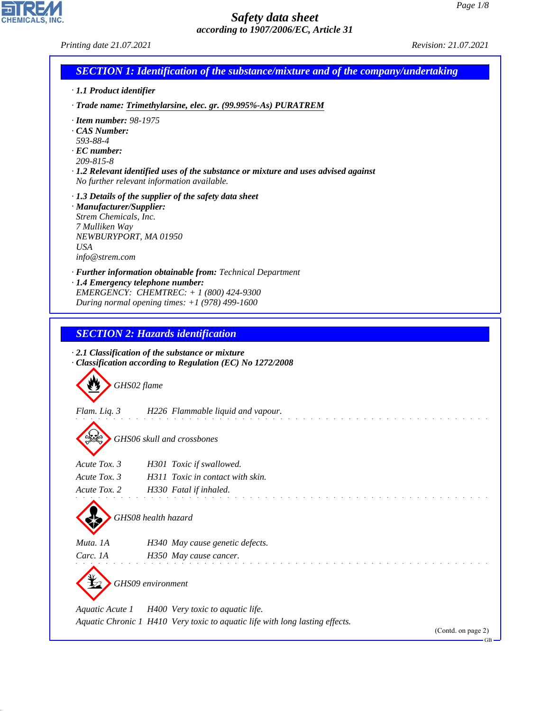**EDIREAL** 

44.1.1

| · 1.1 Product identifier                                                                                                     | <b>SECTION 1: Identification of the substance/mixture and of the company/undertaking</b>                                                                                                        |  |
|------------------------------------------------------------------------------------------------------------------------------|-------------------------------------------------------------------------------------------------------------------------------------------------------------------------------------------------|--|
|                                                                                                                              | · Trade name: Trimethylarsine, elec. gr. (99.995%-As) PURATREM                                                                                                                                  |  |
| $\cdot$ Item number: 98-1975<br>· CAS Number:<br>593-88-4<br>$\cdot$ EC number:<br>209-815-8                                 | · 1.2 Relevant identified uses of the substance or mixture and uses advised against<br>No further relevant information available.                                                               |  |
| · Manufacturer/Supplier:<br>Strem Chemicals, Inc.<br>7 Mulliken Way<br>NEWBURYPORT, MA 01950<br><b>USA</b><br>info@strem.com | $\cdot$ 1.3 Details of the supplier of the safety data sheet                                                                                                                                    |  |
|                                                                                                                              | · Further information obtainable from: Technical Department<br>· 1.4 Emergency telephone number:<br>EMERGENCY: CHEMTREC: + 1 (800) 424-9300<br>During normal opening times: $+1$ (978) 499-1600 |  |
|                                                                                                                              | <b>SECTION 2: Hazards identification</b><br>$\cdot$ 2.1 Classification of the substance or mixture<br>· Classification according to Regulation (EC) No 1272/2008                                |  |
| GHS02 flame                                                                                                                  |                                                                                                                                                                                                 |  |
| Flam. Liq. 3                                                                                                                 | H226 Flammable liquid and vapour.<br>GHS06 skull and crossbones                                                                                                                                 |  |
| Acute Tox. 3                                                                                                                 | H301 Toxic if swallowed.                                                                                                                                                                        |  |
| Acute Tox. 3<br>Acute Tox. 2                                                                                                 | H311 Toxic in contact with skin.<br>H330 Fatal if inhaled.                                                                                                                                      |  |
|                                                                                                                              | GHS08 health hazard                                                                                                                                                                             |  |
| Muta. 1A                                                                                                                     | H340 May cause genetic defects.                                                                                                                                                                 |  |
| Carc. 1A                                                                                                                     | H350 May cause cancer.<br>GHS09 environment                                                                                                                                                     |  |
| Aquatic Acute 1                                                                                                              | H400 Very toxic to aquatic life.<br>Aquatic Chronic 1 H410 Very toxic to aquatic life with long lasting effects.                                                                                |  |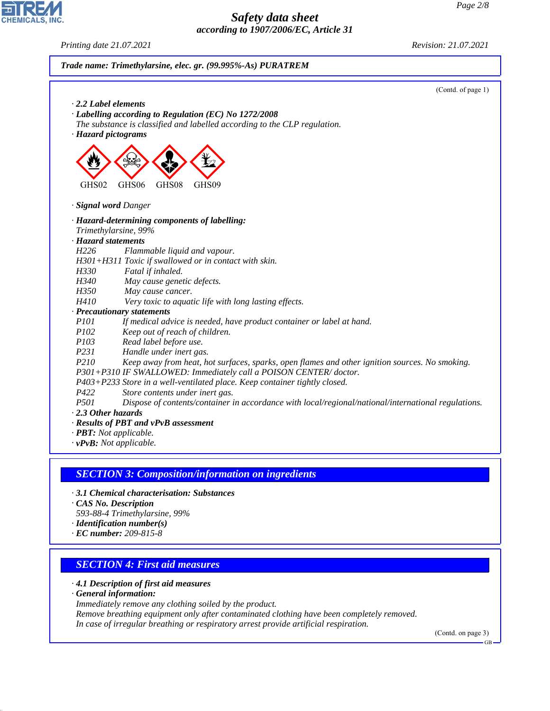*Printing date 21.07.2021 Revision: 21.07.2021*

**CHEMICALS, INC.** 

|                     | (Contd. of page 1)                                                                                  |
|---------------------|-----------------------------------------------------------------------------------------------------|
|                     | $\cdot$ 2.2 Label elements                                                                          |
|                     | · Labelling according to Regulation (EC) No 1272/2008                                               |
|                     | The substance is classified and labelled according to the CLP regulation.                           |
|                     | · Hazard pictograms                                                                                 |
|                     |                                                                                                     |
| GHS02               | GHS06<br>GHS08<br>GHS09                                                                             |
|                     |                                                                                                     |
|                     | · Signal word Danger                                                                                |
|                     | · Hazard-determining components of labelling:                                                       |
|                     | Trimethylarsine, 99%                                                                                |
| · Hazard statements |                                                                                                     |
| H226                | Flammable liquid and vapour.                                                                        |
|                     | H301+H311 Toxic if swallowed or in contact with skin.                                               |
| H330                | Fatal if inhaled.                                                                                   |
| H340                | May cause genetic defects.                                                                          |
| H350                | May cause cancer.                                                                                   |
| H410                | Very toxic to aquatic life with long lasting effects.                                               |
|                     | · Precautionary statements                                                                          |
| <i>P101</i>         | If medical advice is needed, have product container or label at hand.                               |
| <i>P102</i>         | Keep out of reach of children.                                                                      |
| P <sub>103</sub>    | Read label before use.                                                                              |
| P231                | Handle under inert gas.                                                                             |
| P210                | Keep away from heat, hot surfaces, sparks, open flames and other ignition sources. No smoking.      |
|                     | P301+P310 IF SWALLOWED: Immediately call a POISON CENTER/doctor.                                    |
|                     | P403+P233 Store in a well-ventilated place. Keep container tightly closed.                          |
| P422                | Store contents under inert gas.                                                                     |
| P <sub>501</sub>    | Dispose of contents/container in accordance with local/regional/national/international regulations. |
| 2.3 Other hazards   |                                                                                                     |
|                     | · Results of PBT and vPvB assessment                                                                |

## *SECTION 3: Composition/information on ingredients*

- *· 3.1 Chemical characterisation: Substances*
- *· CAS No. Description*
- *593-88-4 Trimethylarsine, 99%*
- *· Identification number(s)*
- *· EC number: 209-815-8*

## *SECTION 4: First aid measures*

*· 4.1 Description of first aid measures*

*· General information:*

44.1.1

*Immediately remove any clothing soiled by the product.*

*Remove breathing equipment only after contaminated clothing have been completely removed. In case of irregular breathing or respiratory arrest provide artificial respiration.*

(Contd. on page 3)

GB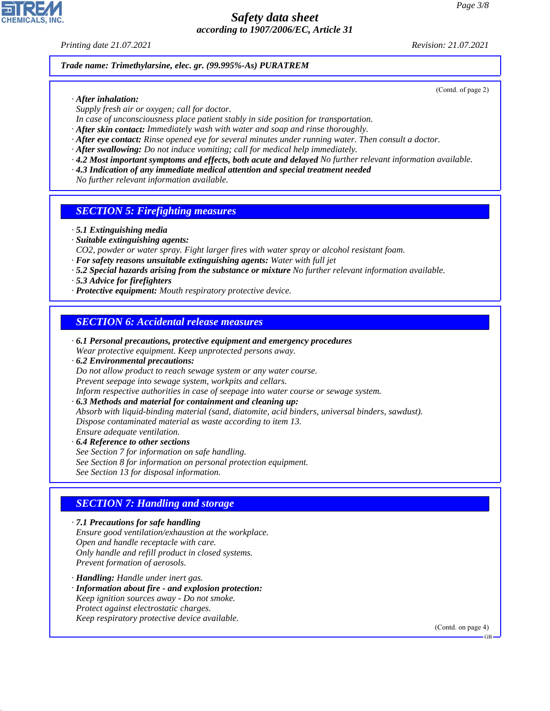*Printing date 21.07.2021 Revision: 21.07.2021*

(Contd. of page 2)

*Trade name: Trimethylarsine, elec. gr. (99.995%-As) PURATREM*

- *· After inhalation:*
- *Supply fresh air or oxygen; call for doctor.*
- *In case of unconsciousness place patient stably in side position for transportation.*
- *· After skin contact: Immediately wash with water and soap and rinse thoroughly.*
- *· After eye contact: Rinse opened eye for several minutes under running water. Then consult a doctor.*
- *· After swallowing: Do not induce vomiting; call for medical help immediately.*
- *· 4.2 Most important symptoms and effects, both acute and delayed No further relevant information available.*
- *· 4.3 Indication of any immediate medical attention and special treatment needed*

*No further relevant information available.*

#### *SECTION 5: Firefighting measures*

- *· 5.1 Extinguishing media*
- *· Suitable extinguishing agents:*
- *CO2, powder or water spray. Fight larger fires with water spray or alcohol resistant foam.*
- *· For safety reasons unsuitable extinguishing agents: Water with full jet*
- *· 5.2 Special hazards arising from the substance or mixture No further relevant information available.*
- *· 5.3 Advice for firefighters*
- *· Protective equipment: Mouth respiratory protective device.*

#### *SECTION 6: Accidental release measures*

- *· 6.1 Personal precautions, protective equipment and emergency procedures Wear protective equipment. Keep unprotected persons away.*
- *· 6.2 Environmental precautions: Do not allow product to reach sewage system or any water course. Prevent seepage into sewage system, workpits and cellars. Inform respective authorities in case of seepage into water course or sewage system.*
- *· 6.3 Methods and material for containment and cleaning up: Absorb with liquid-binding material (sand, diatomite, acid binders, universal binders, sawdust). Dispose contaminated material as waste according to item 13. Ensure adequate ventilation.*
- *· 6.4 Reference to other sections See Section 7 for information on safe handling. See Section 8 for information on personal protection equipment. See Section 13 for disposal information.*

### *SECTION 7: Handling and storage*

*· 7.1 Precautions for safe handling Ensure good ventilation/exhaustion at the workplace. Open and handle receptacle with care. Only handle and refill product in closed systems. Prevent formation of aerosols.*

*· Handling: Handle under inert gas.*

44.1.1

- *· Information about fire and explosion protection: Keep ignition sources away - Do not smoke. Protect against electrostatic charges.*
- *Keep respiratory protective device available.*

(Contd. on page 4)

GB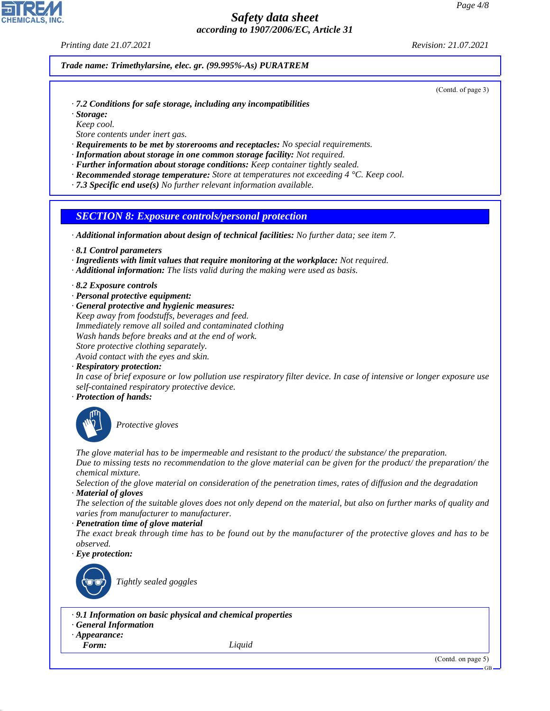*Printing date 21.07.2021 Revision: 21.07.2021*

*Trade name: Trimethylarsine, elec. gr. (99.995%-As) PURATREM*

(Contd. of page 3)

- *· 7.2 Conditions for safe storage, including any incompatibilities*
- *· Storage:*
- *Keep cool.*
- *Store contents under inert gas.*
- *· Requirements to be met by storerooms and receptacles: No special requirements.*
- *· Information about storage in one common storage facility: Not required.*
- *· Further information about storage conditions: Keep container tightly sealed.*
- *· Recommended storage temperature: Store at temperatures not exceeding 4 °C. Keep cool.*
- *· 7.3 Specific end use(s) No further relevant information available.*

#### *SECTION 8: Exposure controls/personal protection*

*· Additional information about design of technical facilities: No further data; see item 7.*

- *· 8.1 Control parameters*
- *· Ingredients with limit values that require monitoring at the workplace: Not required.*
- *· Additional information: The lists valid during the making were used as basis.*
- *· 8.2 Exposure controls*
- *· Personal protective equipment:*
- *· General protective and hygienic measures: Keep away from foodstuffs, beverages and feed. Immediately remove all soiled and contaminated clothing Wash hands before breaks and at the end of work. Store protective clothing separately. Avoid contact with the eyes and skin.*
- *· Respiratory protection:*

*In case of brief exposure or low pollution use respiratory filter device. In case of intensive or longer exposure use self-contained respiratory protective device.*

*· Protection of hands:*



\_S*Protective gloves*

*The glove material has to be impermeable and resistant to the product/ the substance/ the preparation. Due to missing tests no recommendation to the glove material can be given for the product/ the preparation/ the chemical mixture.*

*Selection of the glove material on consideration of the penetration times, rates of diffusion and the degradation · Material of gloves*

*The selection of the suitable gloves does not only depend on the material, but also on further marks of quality and varies from manufacturer to manufacturer.*

*· Penetration time of glove material*

*The exact break through time has to be found out by the manufacturer of the protective gloves and has to be observed.*

*· Eye protection:*



\_R*Tightly sealed goggles*

#### *· 9.1 Information on basic physical and chemical properties*

#### *· General Information*

- *· Appearance:*
- 

44.1.1

*Form: Liquid*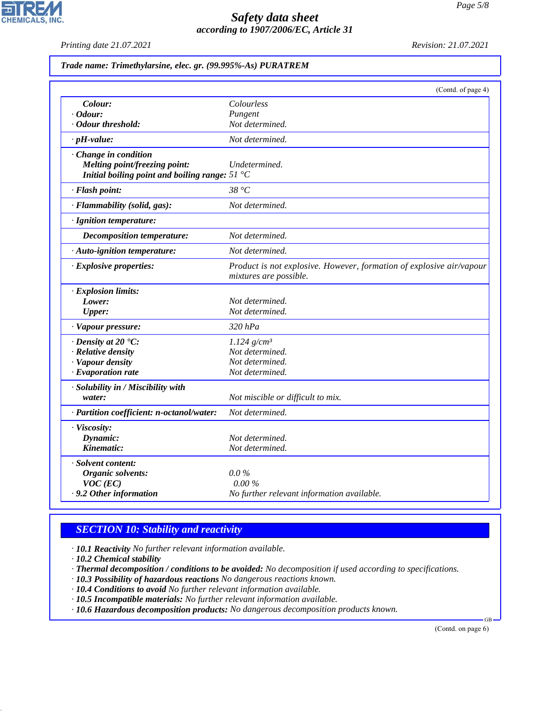*Printing date 21.07.2021 Revision: 21.07.2021*

*Trade name: Trimethylarsine, elec. gr. (99.995%-As) PURATREM*

|                                                                                                                 | (Contd. of page 4)                                                                             |
|-----------------------------------------------------------------------------------------------------------------|------------------------------------------------------------------------------------------------|
| Colour:                                                                                                         | Colourless                                                                                     |
| <i>Cdour:</i>                                                                                                   | Pungent                                                                                        |
| · Odour threshold:                                                                                              | Not determined.                                                                                |
| $\cdot$ pH-value:                                                                                               | Not determined.                                                                                |
| Change in condition<br>Melting point/freezing point:<br>Initial boiling point and boiling range: $51^{\circ}$ C | Undetermined.                                                                                  |
| · Flash point:                                                                                                  | 38 °C                                                                                          |
| · Flammability (solid, gas):                                                                                    | Not determined.                                                                                |
| · Ignition temperature:                                                                                         |                                                                                                |
| <b>Decomposition temperature:</b>                                                                               | Not determined.                                                                                |
| · Auto-ignition temperature:                                                                                    | Not determined.                                                                                |
| · Explosive properties:                                                                                         | Product is not explosive. However, formation of explosive air/vapour<br>mixtures are possible. |
| · Explosion limits:                                                                                             |                                                                                                |
| Lower:                                                                                                          | Not determined.                                                                                |
| <b>Upper:</b>                                                                                                   | Not determined.                                                                                |
| · Vapour pressure:                                                                                              | $320$ $hPa$                                                                                    |
| $\cdot$ Density at 20 $\textdegree$ C:                                                                          | $1.124$ g/cm <sup>3</sup>                                                                      |
| · Relative density                                                                                              | Not determined.                                                                                |
| · Vapour density                                                                                                | Not determined.                                                                                |
| $\cdot$ Evaporation rate                                                                                        | Not determined.                                                                                |
| · Solubility in / Miscibility with                                                                              |                                                                                                |
| water:                                                                                                          | Not miscible or difficult to mix.                                                              |
| · Partition coefficient: n-octanol/water:                                                                       | Not determined.                                                                                |
| · Viscosity:                                                                                                    |                                                                                                |
| Dynamic:                                                                                                        | Not determined.                                                                                |
| Kinematic:                                                                                                      | Not determined.                                                                                |
| · Solvent content:                                                                                              |                                                                                                |
| Organic solvents:                                                                                               | $0.0\%$                                                                                        |
| $VOC$ (EC)                                                                                                      | 0.00%                                                                                          |
| . 9.2 Other information                                                                                         | No further relevant information available.                                                     |

# *SECTION 10: Stability and reactivity*

*· 10.1 Reactivity No further relevant information available.*

*· 10.2 Chemical stability*

44.1.1

*· Thermal decomposition / conditions to be avoided: No decomposition if used according to specifications.*

*· 10.3 Possibility of hazardous reactions No dangerous reactions known.*

*· 10.4 Conditions to avoid No further relevant information available.*

*· 10.5 Incompatible materials: No further relevant information available.*

*· 10.6 Hazardous decomposition products: No dangerous decomposition products known.*

(Contd. on page 6)

GB

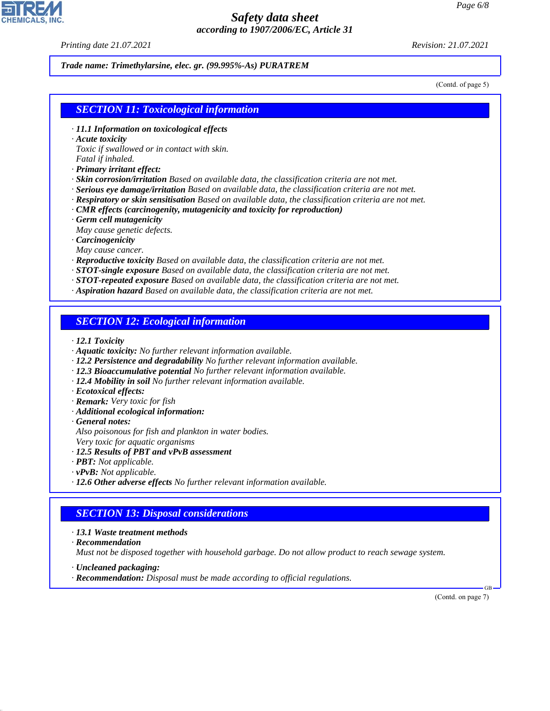*Printing date 21.07.2021 Revision: 21.07.2021*

#### *Trade name: Trimethylarsine, elec. gr. (99.995%-As) PURATREM*

(Contd. of page 5)

#### *SECTION 11: Toxicological information*

- *· 11.1 Information on toxicological effects*
- *· Acute toxicity*

*Toxic if swallowed or in contact with skin. Fatal if inhaled.*

- *· Primary irritant effect:*
- *· Skin corrosion/irritation Based on available data, the classification criteria are not met.*
- *· Serious eye damage/irritation Based on available data, the classification criteria are not met.*
- *· Respiratory or skin sensitisation Based on available data, the classification criteria are not met.*
- *· CMR effects (carcinogenity, mutagenicity and toxicity for reproduction)*
- *· Germ cell mutagenicity*
- *May cause genetic defects.*
- *· Carcinogenicity*
- *May cause cancer.*
- *· Reproductive toxicity Based on available data, the classification criteria are not met.*
- *· STOT-single exposure Based on available data, the classification criteria are not met.*
- *· STOT-repeated exposure Based on available data, the classification criteria are not met.*
- *· Aspiration hazard Based on available data, the classification criteria are not met.*

#### *SECTION 12: Ecological information*

- *· 12.1 Toxicity*
- *· Aquatic toxicity: No further relevant information available.*
- *· 12.2 Persistence and degradability No further relevant information available.*
- *· 12.3 Bioaccumulative potential No further relevant information available.*
- *· 12.4 Mobility in soil No further relevant information available.*
- *· Ecotoxical effects:*
- *· Remark: Very toxic for fish*
- *· Additional ecological information:*
- *· General notes:*

*Also poisonous for fish and plankton in water bodies. Very toxic for aquatic organisms*

- *· 12.5 Results of PBT and vPvB assessment*
- *· PBT: Not applicable.*
- *· vPvB: Not applicable.*
- *· 12.6 Other adverse effects No further relevant information available.*

### *SECTION 13: Disposal considerations*

- *· 13.1 Waste treatment methods*
- *· Recommendation*

44.1.1

*Must not be disposed together with household garbage. Do not allow product to reach sewage system.*

- *· Uncleaned packaging:*
- *· Recommendation: Disposal must be made according to official regulations.*

(Contd. on page 7)

GB

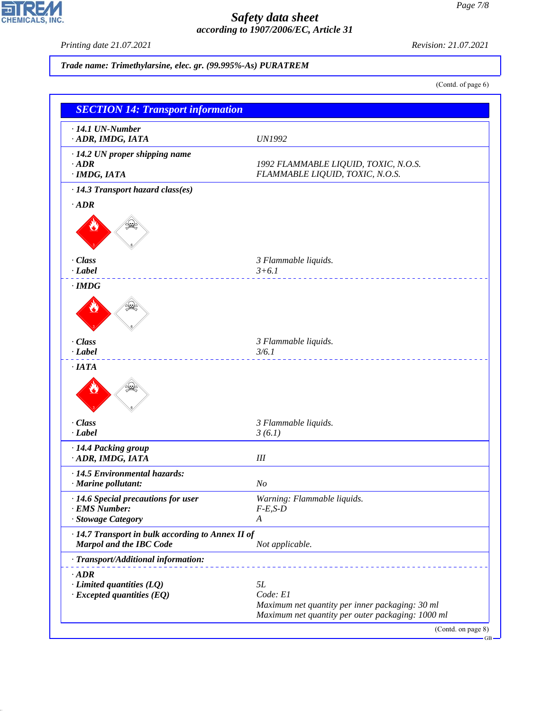*Printing date 21.07.2021 Revision: 21.07.2021*

CHEMICALS, INC.

44.1.1

*Trade name: Trimethylarsine, elec. gr. (99.995%-As) PURATREM*

(Contd. of page 6)

| $\cdot$ 14.1 UN-Number                                                              |                                                                                                      |
|-------------------------------------------------------------------------------------|------------------------------------------------------------------------------------------------------|
| · ADR, IMDG, IATA                                                                   | <b>UN1992</b>                                                                                        |
| · 14.2 UN proper shipping name                                                      |                                                                                                      |
| $\cdot$ ADR                                                                         | 1992 FLAMMABLE LIQUID, TOXIC, N.O.S.                                                                 |
| $·$ IMDG, IATA                                                                      | FLAMMABLE LIQUID, TOXIC, N.O.S.                                                                      |
| · 14.3 Transport hazard class(es)                                                   |                                                                                                      |
| $\cdot$ ADR                                                                         |                                                                                                      |
|                                                                                     |                                                                                                      |
| · Class                                                                             | 3 Flammable liquids.                                                                                 |
| $-Label$                                                                            | $3+6.1$                                                                                              |
| $\cdot$ IMDG                                                                        |                                                                                                      |
|                                                                                     |                                                                                                      |
| · Class                                                                             | 3 Flammable liquids.                                                                                 |
| $\cdot$ <i>Label</i>                                                                | 3/6.1<br>.                                                                                           |
|                                                                                     |                                                                                                      |
| · Class                                                                             | 3 Flammable liquids.                                                                                 |
| $\cdot$ <i>Label</i>                                                                | 3(6.1)                                                                                               |
| · 14.4 Packing group<br>· ADR, IMDG, IATA                                           | III                                                                                                  |
| · 14.5 Environmental hazards:                                                       |                                                                                                      |
| · Marine pollutant:                                                                 | N <sub>o</sub>                                                                                       |
| · 14.6 Special precautions for user                                                 | Warning: Flammable liquids.                                                                          |
| · EMS Number:                                                                       | $F-E,S-D$                                                                                            |
| · Stowage Category                                                                  | A                                                                                                    |
| · 14.7 Transport in bulk according to Annex II of<br><b>Marpol and the IBC Code</b> | Not applicable.                                                                                      |
| · Transport/Additional information:                                                 |                                                                                                      |
| $\cdot$ ADR                                                                         |                                                                                                      |
| $\cdot$ Limited quantities (LQ)                                                     | 5L                                                                                                   |
| $\cdot$ Excepted quantities (EQ)                                                    | Code: E1                                                                                             |
|                                                                                     | Maximum net quantity per inner packaging: 30 ml<br>Maximum net quantity per outer packaging: 1000 ml |